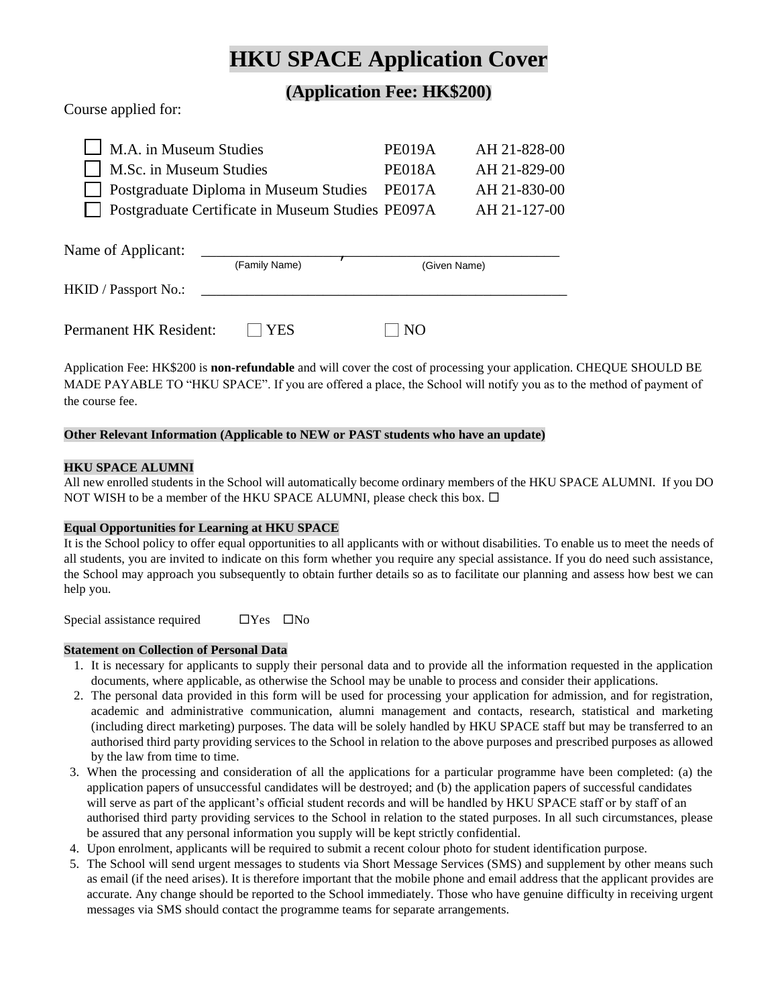# **HKU SPACE Application Cover**

### **(Application Fee: HK\$200)**

Course applied for:

| M.A. in Museum Studies      | <b>PE019A</b>                                     | AH 21-828-00  |              |
|-----------------------------|---------------------------------------------------|---------------|--------------|
| M.Sc. in Museum Studies     |                                                   | <b>PE018A</b> | AH 21-829-00 |
|                             | <b>Postgraduate Diploma in Museum Studies</b>     | PE017A        | AH 21-830-00 |
|                             | Postgraduate Certificate in Museum Studies PE097A |               | AH 21-127-00 |
| Name of Applicant:          |                                                   |               |              |
|                             | (Family Name)                                     |               | (Given Name) |
| <b>HKID</b> / Passport No.: |                                                   |               |              |

| <b>Permanent HK Resident:</b> | $\Box$ YES | $\Box$ NO |
|-------------------------------|------------|-----------|
|-------------------------------|------------|-----------|

Application Fee: HK\$200 is **non-refundable** and will cover the cost of processing your application. CHEQUE SHOULD BE MADE PAYABLE TO "HKU SPACE". If you are offered a place, the School will notify you as to the method of payment of the course fee.

### **Other Relevant Information (Applicable to NEW or PAST students who have an update)**

### **HKU SPACE ALUMNI**

All new enrolled students in the School will automatically become ordinary members of the HKU SPACE ALUMNI. If you DO NOT WISH to be a member of the HKU SPACE ALUMNI, please check this box.  $\Box$ 

### **Equal Opportunities for Learning at HKU SPACE**

It is the School policy to offer equal opportunities to all applicants with or without disabilities. To enable us to meet the needs of all students, you are invited to indicate on this form whether you require any special assistance. If you do need such assistance, the School may approach you subsequently to obtain further details so as to facilitate our planning and assess how best we can help you.

Special assistance required  $\Box$  Yes  $\Box$  No

### **Statement on Collection of Personal Data**

- 1. It is necessary for applicants to supply their personal data and to provide all the information requested in the application documents, where applicable, as otherwise the School may be unable to process and consider their applications.
- 2. The personal data provided in this form will be used for processing your application for admission, and for registration, academic and administrative communication, alumni management and contacts, research, statistical and marketing (including direct marketing) purposes. The data will be solely handled by HKU SPACE staff but may be transferred to an authorised third party providing services to the School in relation to the above purposes and prescribed purposes as allowed by the law from time to time.
- 3. When the processing and consideration of all the applications for a particular programme have been completed: (a) the application papers of unsuccessful candidates will be destroyed; and (b) the application papers of successful candidates will serve as part of the applicant's official student records and will be handled by HKU SPACE staff or by staff of an authorised third party providing services to the School in relation to the stated purposes. In all such circumstances, please be assured that any personal information you supply will be kept strictly confidential.
- 4. Upon enrolment, applicants will be required to submit a recent colour photo for student identification purpose.
- 5. The School will send urgent messages to students via Short Message Services (SMS) and supplement by other means such as email (if the need arises). It is therefore important that the mobile phone and email address that the applicant provides are accurate. Any change should be reported to the School immediately. Those who have genuine difficulty in receiving urgent messages via SMS should contact the programme teams for separate arrangements.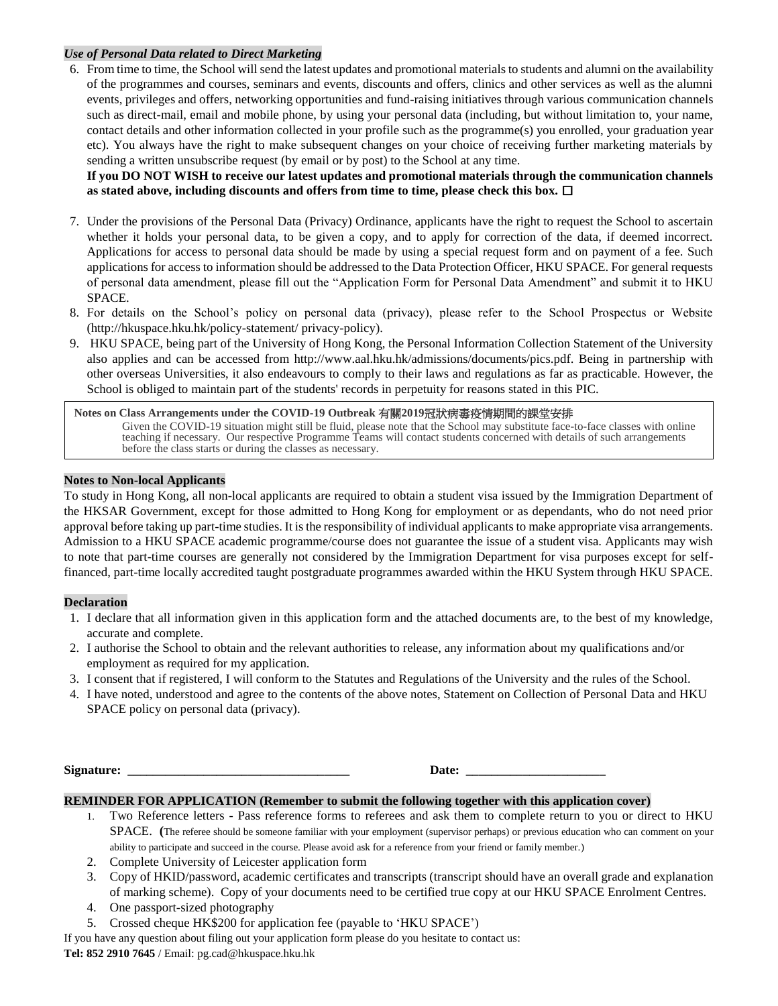### *Use of Personal Data related to Direct Marketing*

6. From time to time, the School will send the latest updates and promotional materials to students and alumni on the availability of the programmes and courses, seminars and events, discounts and offers, clinics and other services as well as the alumni events, privileges and offers, networking opportunities and fund-raising initiatives through various communication channels such as direct-mail, email and mobile phone, by using your personal data (including, but without limitation to, your name, contact details and other information collected in your profile such as the programme(s) you enrolled, your graduation year etc). You always have the right to make subsequent changes on your choice of receiving further marketing materials by sending a written unsubscribe request (by email or by post) to the School at any time.

**If you DO NOT WISH to receive our latest updates and promotional materials through the communication channels as stated above, including discounts and offers from time to time, please check this box.** 

- 7. Under the provisions of the Personal Data (Privacy) Ordinance, applicants have the right to request the School to ascertain whether it holds your personal data, to be given a copy, and to apply for correction of the data, if deemed incorrect. Applications for access to personal data should be made by using a special request form and on payment of a fee. Such applications for access to information should be addressed to the Data Protection Officer, HKU SPACE. For general requests of personal data amendment, please fill out the "Application Form for Personal Data Amendment" and submit it to HKU SPACE.
- 8. For details on the School's policy on personal data (privacy), please refer to the School Prospectus or Website (http://hkuspace.hku.hk/policy-statement/ privacy-policy).
- 9. HKU SPACE, being part of the University of Hong Kong, the Personal Information Collection Statement of the University also applies and can be accessed from http://www.aal.hku.hk/admissions/documents/pics.pdf. Being in partnership with other overseas Universities, it also endeavours to comply to their laws and regulations as far as practicable. However, the School is obliged to maintain part of the students' records in perpetuity for reasons stated in this PIC.

**Notes on Class Arrangements under the COVID-19 Outbreak** 有關**2019**冠狀病毒疫情期間的課堂安排 Given the COVID-19 situation might still be fluid, please note that the School may substitute face-to-face classes with online teaching if necessary. Our respective Programme Teams will contact students concerned with details of such arrangements before the class starts or during the classes as necessary.

#### **Notes to Non-local Applicants**

To study in Hong Kong, all non-local applicants are required to obtain a student visa issued by the Immigration Department of the HKSAR Government, except for those admitted to Hong Kong for employment or as dependants, who do not need prior approval before taking up part-time studies. It is the responsibility of individual applicants to make appropriate visa arrangements. Admission to a HKU SPACE academic programme/course does not guarantee the issue of a student visa. Applicants may wish to note that part-time courses are generally not considered by the Immigration Department for visa purposes except for selffinanced, part-time locally accredited taught postgraduate programmes awarded within the HKU System through HKU SPACE.

#### **Declaration**

- 1. I declare that all information given in this application form and the attached documents are, to the best of my knowledge, accurate and complete.
- 2. I authorise the School to obtain and the relevant authorities to release, any information about my qualifications and/or employment as required for my application.
- 3. I consent that if registered, I will conform to the Statutes and Regulations of the University and the rules of the School.
- 4. I have noted, understood and agree to the contents of the above notes, Statement on Collection of Personal Data and HKU SPACE policy on personal data (privacy).

**Signature: \_\_\_\_\_\_\_\_\_\_\_\_\_\_\_\_\_\_\_\_\_\_\_\_\_\_\_\_\_\_\_\_\_\_\_ Date: \_\_\_\_\_\_\_\_\_\_\_\_\_\_\_\_\_\_\_\_\_\_**

#### **REMINDER FOR APPLICATION (Remember to submit the following together with this application cover)**

- 1. Two Reference letters Pass reference forms to referees and ask them to complete return to you or direct to HKU SPACE. **(**The referee should be someone familiar with your employment (supervisor perhaps) or previous education who can comment on your ability to participate and succeed in the course. Please avoid ask for a reference from your friend or family member.)
- 2. Complete University of Leicester application form
- 3. Copy of HKID/password, academic certificates and transcripts (transcript should have an overall grade and explanation of marking scheme). Copy of your documents need to be certified true copy at our HKU SPACE Enrolment Centres.
- 4. One passport-sized photography
- 5. Crossed cheque HK\$200 for application fee (payable to 'HKU SPACE')

If you have any question about filing out your application form please do you hesitate to contact us: **Tel: 852 2910 7645** / Email: pg.cad@hkuspace.hku.hk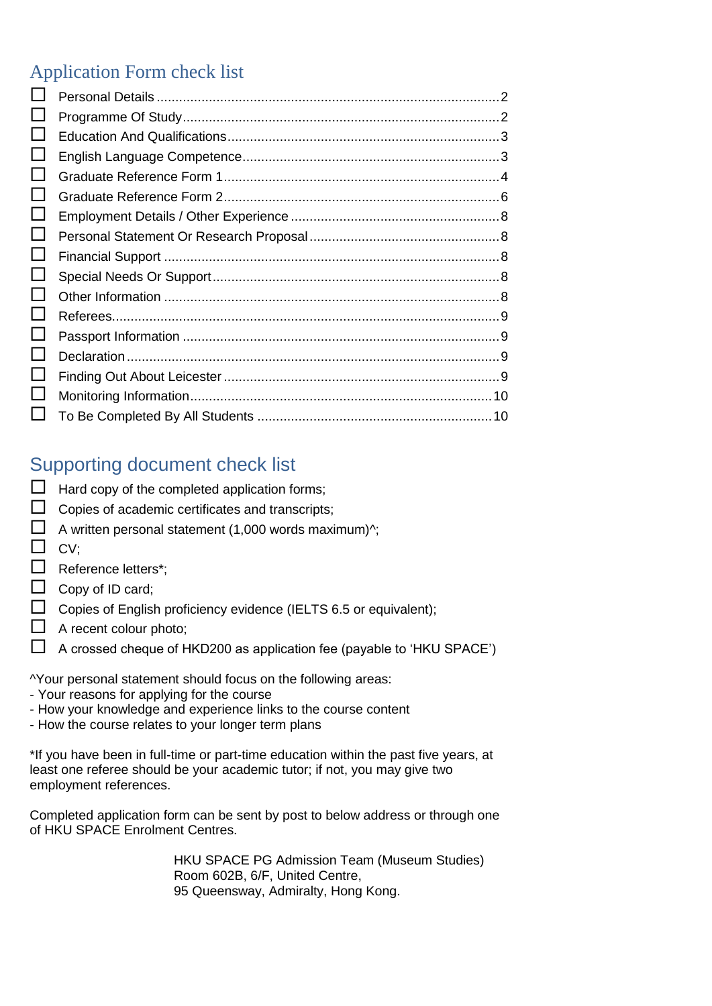# Application Form check list

| ப |  |
|---|--|
|   |  |
|   |  |
| ப |  |
|   |  |
| ப |  |
|   |  |
|   |  |
|   |  |
|   |  |
| ப |  |
| ப |  |
|   |  |
|   |  |

# Supporting document check list

- $\Box$  Hard copy of the completed application forms;  $\Box$  Copies of academic certificates and transcripts;  $\Box$  A written personal statement (1,000 words maximum)^;  $\Box$  CV; Reference letters\*;  $\Box$  Copy of ID card; Copies of English proficiency evidence (IELTS 6.5 or equivalent);
	- $\Box$  A recent colour photo;
	- $\Box$  A crossed cheque of HKD200 as application fee (payable to 'HKU SPACE')

^Your personal statement should focus on the following areas:

- Your reasons for applying for the course
- How your knowledge and experience links to the course content
- How the course relates to your longer term plans

\*If you have been in full-time or part-time education within the past five years, at least one referee should be your academic tutor; if not, you may give two employment references.

Completed application form can be sent by post to below address or through one of HKU SPACE Enrolment Centres.

> HKU SPACE PG Admission Team (Museum Studies) Room 602B, 6/F, United Centre, 95 Queensway, Admiralty, Hong Kong.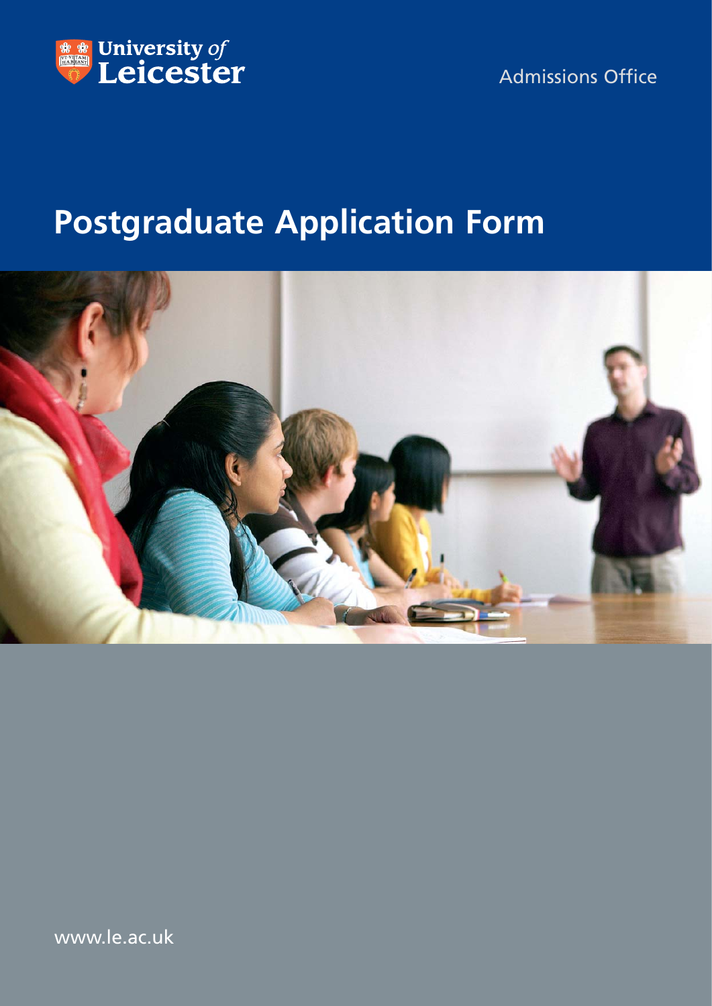

Admissions Office

# **Postgraduate Application Form**



www.le.ac.uk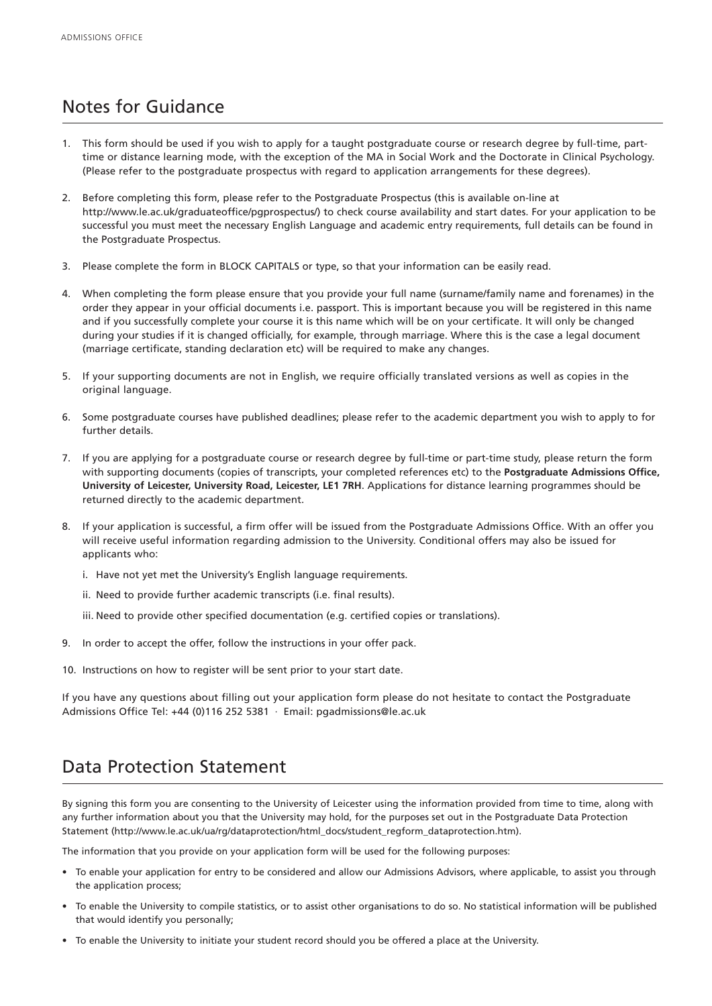# Notes for Guidance

- This form should be used if you wish to apply for a taught postgraduate course or research degree by full-time, parttime or distance learning mode, with the exception of the MA in Social Work and the Doctorate in Clinical Psychology. (Please refer to the postgraduate prospectus with regard to application arrangements for these degrees).
- 2. Before completing this form, please refer to the Postgraduate Prospectus (this is available on-line at http://www.le.ac.uk/graduateoffice/pgprospectus/) to check course availability and start dates. For your application to be successful you must meet the necessary English Language and academic entry requirements, full details can be found in the Postgraduate Prospectus.
- 3. Please complete the form in BLOCK CAPITALS or type, so that your information can be easily read.
- 4. When completing the form please ensure that you provide your full name (surname/family name and forenames) in the order they appear in your official documents i.e. passport. This is important because you will be registered in this name and if you successfully complete your course it is this name which will be on your certificate. It will only be changed during your studies if it is changed officially, for example, through marriage. Where this is the case a legal document (marriage certificate, standing declaration etc) will be required to make any changes.
- 5. If your supporting documents are not in English, we require officially translated versions as well as copies in the original language.
- 6. Some postgraduate courses have published deadlines; please refer to the academic department you wish to apply to for further details.
- 7. If you are applying for a postgraduate course or research degree by full-time or part-time study, please return the form with supporting documents (copies of transcripts, your completed references etc) to the **Postgraduate Admissions Office, University of Leicester, University Road, Leicester, LE1 7RH**. Applications for distance learning programmes should be returned directly to the academic department.
- 8. If your application is successful, a firm offer will be issued from the Postgraduate Admissions Office. With an offer you will receive useful information regarding admission to the University. Conditional offers may also be issued for applicants who:
	- i. Have not yet met the University's English language requirements.
	- ii. Need to provide further academic transcripts (i.e. final results).
	- iii. Need to provide other specified documentation (e.g. certified copies or translations).
- 9. In order to accept the offer, follow the instructions in your offer pack.
- 10. Instructions on how to register will be sent prior to your start date.

If you have any questions about filling out your application form please do not hesitate to contact the Postgraduate Admissions Office Tel: +44 (0)116 252 5381 · Email: pgadmissions@le.ac.uk

# Data Protection Statement

By signing this form you are consenting to the University of Leicester using the information provided from time to time, along with any further information about you that the University may hold, for the purposes set out in the Postgraduate Data Protection Statement (http://www.le.ac.uk/ua/rg/dataprotection/html\_docs/student\_regform\_dataprotection.htm).

The information that you provide on your application form will be used for the following purposes:

- To enable your application for entry to be considered and allow our Admissions Advisors, where applicable, to assist you through the application process;
- To enable the University to compile statistics, or to assist other organisations to do so. No statistical information will be published that would identify you personally;
- To enable the University to initiate your student record should you be offered a place at the University.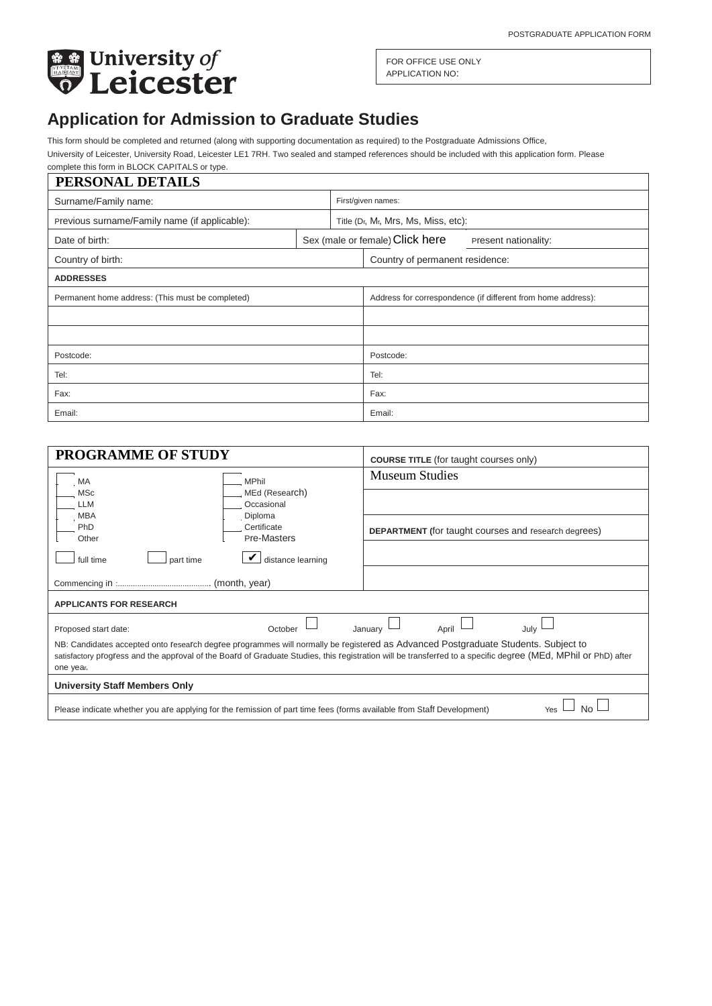

FOR OFFICE USE ONLY APPLICATION NO:

# **Application for Admission to Graduate Studies**

This form should be completed and returned (along with supporting documentation as required) to the Postgraduate Admissions Office,

University of Leicester, University Road, Leicester LE1 7RH. Two sealed and stamped references should be included with this application form. Please complete this form in BLOCK CAPITALS or type.

<span id="page-5-0"></span>

| PERSONAL DETAILS                                 |  |                                                              |                                 |                      |
|--------------------------------------------------|--|--------------------------------------------------------------|---------------------------------|----------------------|
| Surname/Family name:                             |  | First/given names:                                           |                                 |                      |
| Previous surname/Family name (if applicable):    |  | Title (Dr, Mr, Mrs, Ms, Miss, etc):                          |                                 |                      |
| Date of birth:                                   |  |                                                              | Sex (male or female) Click here | Present nationality: |
| Country of birth:                                |  |                                                              | Country of permanent residence: |                      |
| <b>ADDRESSES</b>                                 |  |                                                              |                                 |                      |
| Permanent home address: (This must be completed) |  | Address for correspondence (if different from home address): |                                 |                      |
|                                                  |  |                                                              |                                 |                      |
|                                                  |  |                                                              |                                 |                      |
| Postcode:                                        |  | Postcode:                                                    |                                 |                      |
| Tel:                                             |  | Tel:                                                         |                                 |                      |
| Fax:                                             |  | Fax:                                                         |                                 |                      |
| Email:                                           |  | Email:                                                       |                                 |                      |

<span id="page-5-1"></span>

| <b>PROGRAMME OF STUDY</b>                                                                                                                                                                                                                                                                                       | <b>COURSE TITLE</b> (for taught courses only)               |  |
|-----------------------------------------------------------------------------------------------------------------------------------------------------------------------------------------------------------------------------------------------------------------------------------------------------------------|-------------------------------------------------------------|--|
| <b>MPhil</b><br>MA                                                                                                                                                                                                                                                                                              | <b>Museum Studies</b>                                       |  |
| MEd (Research)<br>MSc<br>Occasional<br>LLM                                                                                                                                                                                                                                                                      |                                                             |  |
| MBA<br>Diploma<br>Certificate<br>PhD<br>Pre-Masters<br>Other                                                                                                                                                                                                                                                    | <b>DEPARTMENT</b> (for taught courses and research degrees) |  |
| distance learning<br>full time<br>part time                                                                                                                                                                                                                                                                     |                                                             |  |
|                                                                                                                                                                                                                                                                                                                 |                                                             |  |
| <b>APPLICANTS FOR RESEARCH</b>                                                                                                                                                                                                                                                                                  |                                                             |  |
| Proposed start date:<br>October                                                                                                                                                                                                                                                                                 | July<br>January<br>April                                    |  |
| NB: Candidates accepted onto research degree programmes will normally be registered as Advanced Postgraduate Students. Subject to<br>satisfactory progress and the approval of the Board of Graduate Studies, this registration will be transferred to a specific degree (MEd, MPhil or PhD) after<br>one year. |                                                             |  |
| <b>University Staff Members Only</b>                                                                                                                                                                                                                                                                            |                                                             |  |
| Please indicate whether you are applying for the remission of part time fees (forms available from Staff Development)                                                                                                                                                                                           |                                                             |  |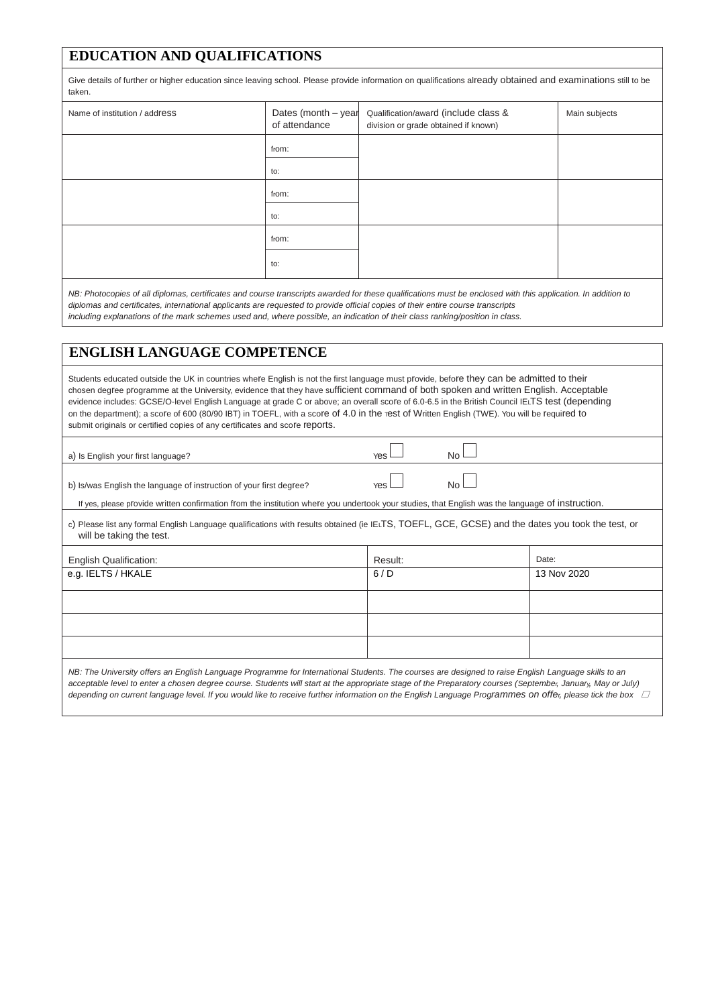## <span id="page-6-0"></span>**EDUCATION AND QUALIFICATIONS**

Give details of further or higher education since leaving school. Please provide information on qualifications already obtained and examinations still to be taken.

| Name of institution / address | of attendance | Dates (month $-$ year Qualification/award (include class &<br>division or grade obtained if known) | Main subjects |
|-------------------------------|---------------|----------------------------------------------------------------------------------------------------|---------------|
|                               | from:         |                                                                                                    |               |
|                               | to:           |                                                                                                    |               |
|                               | from:         |                                                                                                    |               |
|                               | to:           |                                                                                                    |               |
|                               | from:         |                                                                                                    |               |
|                               | to:           |                                                                                                    |               |

*NB: Photocopies of all diplomas, certificates and course transcripts awarded for these qualifications must be enclosed with this application. In addition to diplomas and certificates, international applicants are requested to provide official copies of their entire course transcripts including explanations of the mark schemes used and, where possible, an indication of their class ranking/position in class.*

# <span id="page-6-1"></span>**ENGLISH LANGUAGE COMPETENCE**

| Students educated outside the UK in countries where English is not the first language must provide, before they can be admitted to their<br>chosen degree programme at the University, evidence that they have sufficient command of both spoken and written English. Acceptable<br>evidence includes: GCSE/O-level English Language at grade C or above; an overall score of 6.0-6.5 in the British Council IELTS test (depending<br>on the department); a score of 600 (80/90 IBT) in TOEFL, with a score of 4.0 in the rest of Written English (TWE). You will be required to<br>submit originals or certified copies of any certificates and score reports. |            |           |             |
|-----------------------------------------------------------------------------------------------------------------------------------------------------------------------------------------------------------------------------------------------------------------------------------------------------------------------------------------------------------------------------------------------------------------------------------------------------------------------------------------------------------------------------------------------------------------------------------------------------------------------------------------------------------------|------------|-----------|-------------|
| a) Is English your first language?                                                                                                                                                                                                                                                                                                                                                                                                                                                                                                                                                                                                                              | <b>Yes</b> | <b>No</b> |             |
| b) Is/was English the language of instruction of your first degree?<br>If yes, please provide written confirmation from the institution where you undertook your studies, that English was the language of instruction.                                                                                                                                                                                                                                                                                                                                                                                                                                         | <b>Yes</b> | <b>No</b> |             |
| c) Please list any formal English Language qualifications with results obtained (ie IELTS, TOEFL, GCE, GCSE) and the dates you took the test, or<br>will be taking the test.                                                                                                                                                                                                                                                                                                                                                                                                                                                                                    |            |           |             |
| <b>English Qualification:</b>                                                                                                                                                                                                                                                                                                                                                                                                                                                                                                                                                                                                                                   | Result:    |           | Date:       |
| e.g. IELTS / HKALE                                                                                                                                                                                                                                                                                                                                                                                                                                                                                                                                                                                                                                              | 6/D        |           | 13 Nov 2020 |
|                                                                                                                                                                                                                                                                                                                                                                                                                                                                                                                                                                                                                                                                 |            |           |             |
|                                                                                                                                                                                                                                                                                                                                                                                                                                                                                                                                                                                                                                                                 |            |           |             |
|                                                                                                                                                                                                                                                                                                                                                                                                                                                                                                                                                                                                                                                                 |            |           |             |
| NB: The University offers an English Language Programme for International Students. The courses are designed to raise English Language skills to an<br>acceptable level to enter a chosen degree course. Students will start at the appropriate stage of the Preparatory courses (September, January, May or July)<br>depending on current language level. If you would like to receive further information on the English Language Programmes on offer, please tick the box $\Box$                                                                                                                                                                             |            |           |             |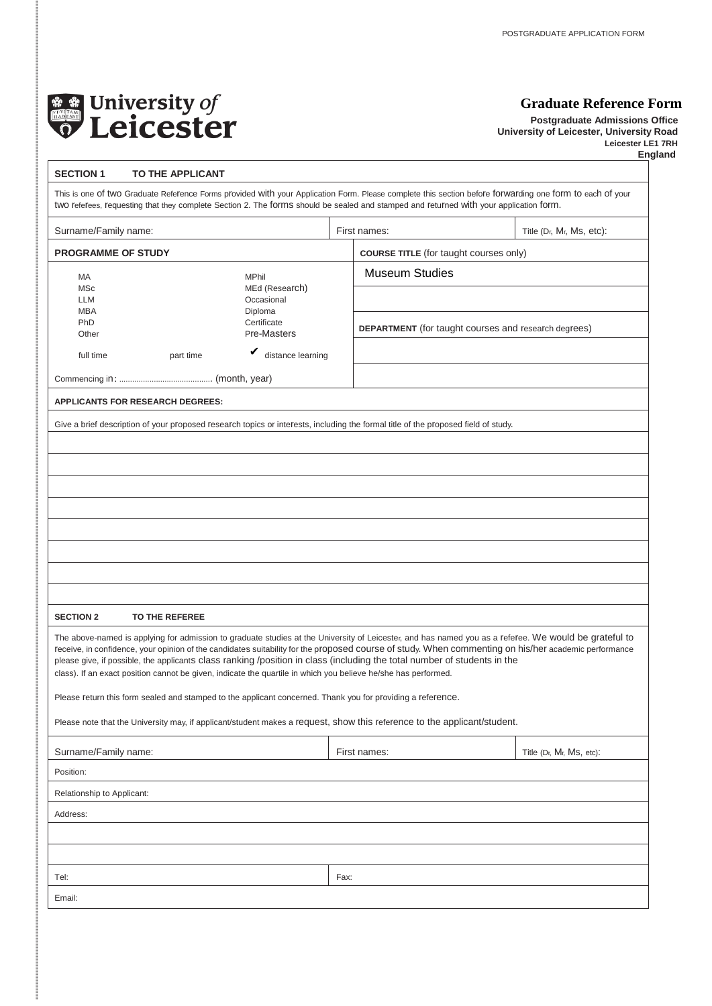

ļ

### <span id="page-7-0"></span>**Graduate Reference Form**

**Postgraduate Admissions Office University of Leicester, University Road Leicester LE1 7RH England**

| <b>SECTION 1</b><br>TO THE APPLICANT                                                                                                                                                                                                                                                                                                                                                                                                                                                                                                                        |                               |                                                             |                          |  |
|-------------------------------------------------------------------------------------------------------------------------------------------------------------------------------------------------------------------------------------------------------------------------------------------------------------------------------------------------------------------------------------------------------------------------------------------------------------------------------------------------------------------------------------------------------------|-------------------------------|-------------------------------------------------------------|--------------------------|--|
| This is one of two Graduate Reference Forms provided with your Application Form. Please complete this section before forwarding one form to each of your<br>two referees, requesting that they complete Section 2. The forms should be sealed and stamped and returned with your application form.                                                                                                                                                                                                                                                          |                               |                                                             |                          |  |
| Surname/Family name:                                                                                                                                                                                                                                                                                                                                                                                                                                                                                                                                        |                               | First names:                                                | Title (Dr, Mr, Ms, etc): |  |
| <b>PROGRAMME OF STUDY</b>                                                                                                                                                                                                                                                                                                                                                                                                                                                                                                                                   |                               | <b>COURSE TITLE</b> (for taught courses only)               |                          |  |
| MA<br>MPhil<br><b>MSc</b><br>Occasional<br>LLM                                                                                                                                                                                                                                                                                                                                                                                                                                                                                                              | MEd (Research)                | <b>Museum Studies</b>                                       |                          |  |
| <b>MBA</b><br>Diploma<br>PhD<br>Certificate<br>Pre-Masters<br>Other                                                                                                                                                                                                                                                                                                                                                                                                                                                                                         |                               | <b>DEPARTMENT</b> (for taught courses and research degrees) |                          |  |
| full time<br>part time                                                                                                                                                                                                                                                                                                                                                                                                                                                                                                                                      | $\mathbf y$ distance learning |                                                             |                          |  |
|                                                                                                                                                                                                                                                                                                                                                                                                                                                                                                                                                             |                               |                                                             |                          |  |
| <b>APPLICANTS FOR RESEARCH DEGREES:</b>                                                                                                                                                                                                                                                                                                                                                                                                                                                                                                                     |                               |                                                             |                          |  |
| Give a brief description of your proposed research topics or interests, including the formal title of the proposed field of study.                                                                                                                                                                                                                                                                                                                                                                                                                          |                               |                                                             |                          |  |
|                                                                                                                                                                                                                                                                                                                                                                                                                                                                                                                                                             |                               |                                                             |                          |  |
|                                                                                                                                                                                                                                                                                                                                                                                                                                                                                                                                                             |                               |                                                             |                          |  |
|                                                                                                                                                                                                                                                                                                                                                                                                                                                                                                                                                             |                               |                                                             |                          |  |
|                                                                                                                                                                                                                                                                                                                                                                                                                                                                                                                                                             |                               |                                                             |                          |  |
|                                                                                                                                                                                                                                                                                                                                                                                                                                                                                                                                                             |                               |                                                             |                          |  |
|                                                                                                                                                                                                                                                                                                                                                                                                                                                                                                                                                             |                               |                                                             |                          |  |
|                                                                                                                                                                                                                                                                                                                                                                                                                                                                                                                                                             |                               |                                                             |                          |  |
|                                                                                                                                                                                                                                                                                                                                                                                                                                                                                                                                                             |                               |                                                             |                          |  |
|                                                                                                                                                                                                                                                                                                                                                                                                                                                                                                                                                             |                               |                                                             |                          |  |
| <b>SECTION 2</b><br>TO THE REFEREE                                                                                                                                                                                                                                                                                                                                                                                                                                                                                                                          |                               |                                                             |                          |  |
| The above-named is applying for admission to graduate studies at the University of Leicester, and has named you as a referee. We would be grateful to<br>receive, in confidence, your opinion of the candidates suitability for the proposed course of study. When commenting on his/her academic performance<br>please give, if possible, the applicants class ranking /position in class (including the total number of students in the<br>class). If an exact position cannot be given, indicate the quartile in which you believe he/she has performed. |                               |                                                             |                          |  |
| Please return this form sealed and stamped to the applicant concerned. Thank you for providing a reference.                                                                                                                                                                                                                                                                                                                                                                                                                                                 |                               |                                                             |                          |  |
| Please note that the University may, if applicant/student makes a request, show this reference to the applicant/student.                                                                                                                                                                                                                                                                                                                                                                                                                                    |                               |                                                             |                          |  |
| Surname/Family name:                                                                                                                                                                                                                                                                                                                                                                                                                                                                                                                                        |                               | First names:                                                | Title (Dr, Mr, Ms, etc): |  |
| Position:                                                                                                                                                                                                                                                                                                                                                                                                                                                                                                                                                   |                               |                                                             |                          |  |
| Relationship to Applicant:                                                                                                                                                                                                                                                                                                                                                                                                                                                                                                                                  |                               |                                                             |                          |  |
| Address:                                                                                                                                                                                                                                                                                                                                                                                                                                                                                                                                                    |                               |                                                             |                          |  |
|                                                                                                                                                                                                                                                                                                                                                                                                                                                                                                                                                             |                               |                                                             |                          |  |
|                                                                                                                                                                                                                                                                                                                                                                                                                                                                                                                                                             |                               |                                                             |                          |  |
| Tel:                                                                                                                                                                                                                                                                                                                                                                                                                                                                                                                                                        |                               | Fax:                                                        |                          |  |
| Email:                                                                                                                                                                                                                                                                                                                                                                                                                                                                                                                                                      |                               |                                                             |                          |  |
|                                                                                                                                                                                                                                                                                                                                                                                                                                                                                                                                                             |                               |                                                             |                          |  |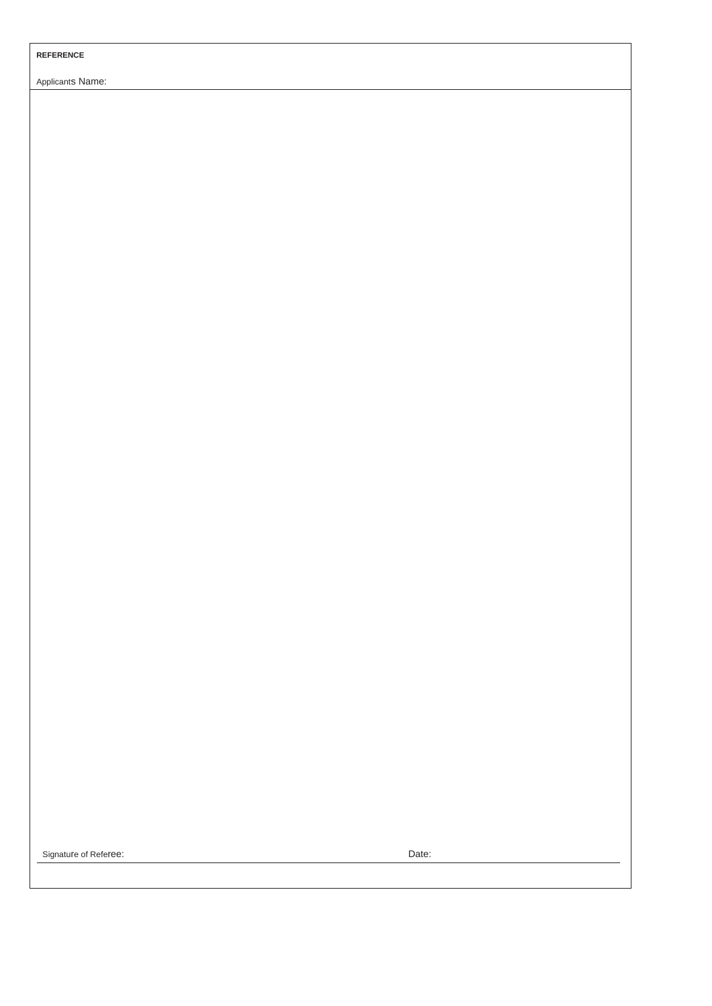#### **REFERENCE**

Applicants Name:

Signature of Referee: Date: Date: Date: Date: Date: Date: Date: Date: Date: Date: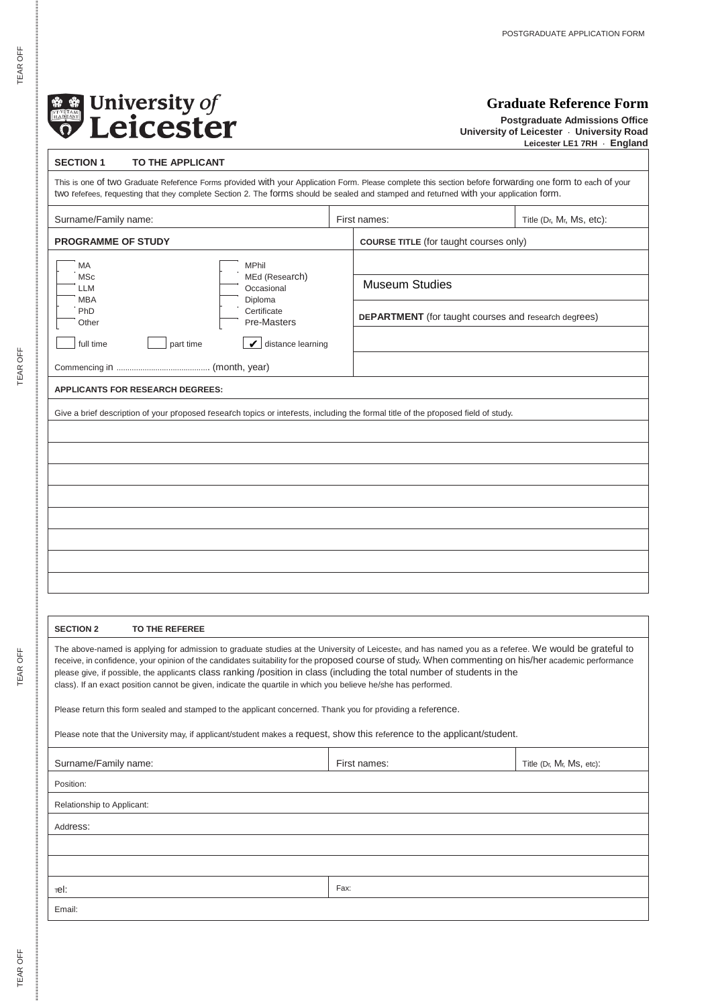

### <span id="page-9-0"></span>**Graduate Reference Form**

**Postgraduate Admissions Office University of Leicester · University Road Leicester LE1 7RH · England**

| <b>SECTION 1</b><br>TO THE APPLICANT                                                                                                                                                                                                                                                                                                                                                                                                                                                                                                                        |      |                                                             |                          |  |
|-------------------------------------------------------------------------------------------------------------------------------------------------------------------------------------------------------------------------------------------------------------------------------------------------------------------------------------------------------------------------------------------------------------------------------------------------------------------------------------------------------------------------------------------------------------|------|-------------------------------------------------------------|--------------------------|--|
| This is one of two Graduate Reference Forms provided with your Application Form. Please complete this section before forwarding one form to each of your<br>two referees, requesting that they complete Section 2. The forms should be sealed and stamped and returned with your application form.                                                                                                                                                                                                                                                          |      |                                                             |                          |  |
| Surname/Family name:                                                                                                                                                                                                                                                                                                                                                                                                                                                                                                                                        |      | First names:                                                | Title (Dr, Mr, Ms, etc): |  |
| PROGRAMME OF STUDY                                                                                                                                                                                                                                                                                                                                                                                                                                                                                                                                          |      | <b>COURSE TITLE</b> (for taught courses only)               |                          |  |
| МA<br>MPhil                                                                                                                                                                                                                                                                                                                                                                                                                                                                                                                                                 |      |                                                             |                          |  |
| <b>MSc</b><br>MEd (Research)<br>Occasional<br>LLM                                                                                                                                                                                                                                                                                                                                                                                                                                                                                                           |      | <b>Museum Studies</b>                                       |                          |  |
| Diploma<br><b>MBA</b><br>PhD<br>Certificate<br>Pre-Masters<br>Other                                                                                                                                                                                                                                                                                                                                                                                                                                                                                         |      | <b>DEPARTMENT</b> (for taught courses and research degrees) |                          |  |
| full time<br>part time<br>$\mathcal{V}$ distance learning                                                                                                                                                                                                                                                                                                                                                                                                                                                                                                   |      |                                                             |                          |  |
|                                                                                                                                                                                                                                                                                                                                                                                                                                                                                                                                                             |      |                                                             |                          |  |
| APPLICANTS FOR RESEARCH DEGREES:                                                                                                                                                                                                                                                                                                                                                                                                                                                                                                                            |      |                                                             |                          |  |
| Give a brief description of your proposed research topics or interests, including the formal title of the proposed field of study.                                                                                                                                                                                                                                                                                                                                                                                                                          |      |                                                             |                          |  |
|                                                                                                                                                                                                                                                                                                                                                                                                                                                                                                                                                             |      |                                                             |                          |  |
|                                                                                                                                                                                                                                                                                                                                                                                                                                                                                                                                                             |      |                                                             |                          |  |
|                                                                                                                                                                                                                                                                                                                                                                                                                                                                                                                                                             |      |                                                             |                          |  |
|                                                                                                                                                                                                                                                                                                                                                                                                                                                                                                                                                             |      |                                                             |                          |  |
|                                                                                                                                                                                                                                                                                                                                                                                                                                                                                                                                                             |      |                                                             |                          |  |
|                                                                                                                                                                                                                                                                                                                                                                                                                                                                                                                                                             |      |                                                             |                          |  |
|                                                                                                                                                                                                                                                                                                                                                                                                                                                                                                                                                             |      |                                                             |                          |  |
|                                                                                                                                                                                                                                                                                                                                                                                                                                                                                                                                                             |      |                                                             |                          |  |
|                                                                                                                                                                                                                                                                                                                                                                                                                                                                                                                                                             |      |                                                             |                          |  |
|                                                                                                                                                                                                                                                                                                                                                                                                                                                                                                                                                             |      |                                                             |                          |  |
| <b>SECTION 2</b><br>TO THE REFEREE                                                                                                                                                                                                                                                                                                                                                                                                                                                                                                                          |      |                                                             |                          |  |
| The above-named is applying for admission to graduate studies at the University of Leicester, and has named you as a referee. We would be grateful to<br>receive, in confidence, your opinion of the candidates suitability for the proposed course of study. When commenting on his/her academic performance<br>please give, if possible, the applicants class ranking /position in class (including the total number of students in the<br>class). If an exact position cannot be given, indicate the quartile in which you believe he/she has performed. |      |                                                             |                          |  |
| Please return this form sealed and stamped to the applicant concerned. Thank you for providing a reference.                                                                                                                                                                                                                                                                                                                                                                                                                                                 |      |                                                             |                          |  |
| Please note that the University may, if applicant/student makes a request, show this reference to the applicant/student.                                                                                                                                                                                                                                                                                                                                                                                                                                    |      |                                                             |                          |  |
| Surname/Family name:                                                                                                                                                                                                                                                                                                                                                                                                                                                                                                                                        |      | First names:                                                | Title (Dr, Mr, Ms, etc): |  |
| Position:                                                                                                                                                                                                                                                                                                                                                                                                                                                                                                                                                   |      |                                                             |                          |  |
| Relationship to Applicant:                                                                                                                                                                                                                                                                                                                                                                                                                                                                                                                                  |      |                                                             |                          |  |
| Address:                                                                                                                                                                                                                                                                                                                                                                                                                                                                                                                                                    |      |                                                             |                          |  |
|                                                                                                                                                                                                                                                                                                                                                                                                                                                                                                                                                             |      |                                                             |                          |  |
|                                                                                                                                                                                                                                                                                                                                                                                                                                                                                                                                                             |      |                                                             |                          |  |
| тel:                                                                                                                                                                                                                                                                                                                                                                                                                                                                                                                                                        | Fax: |                                                             |                          |  |
| Email:                                                                                                                                                                                                                                                                                                                                                                                                                                                                                                                                                      |      |                                                             |                          |  |
|                                                                                                                                                                                                                                                                                                                                                                                                                                                                                                                                                             |      |                                                             |                          |  |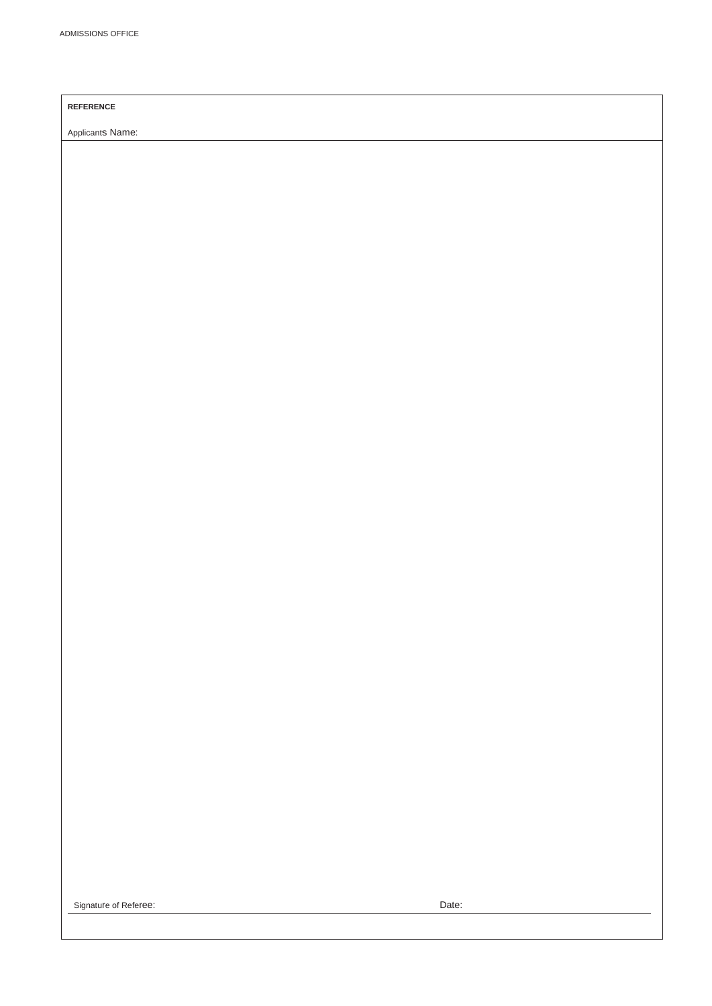### **REFERENCE**

Applicants Name:

Signature of Referee: Date: Date: Date: Date: Date: Date: Date: Date: Date: Date: Date: Date: Date: Date: Date: Date: Date: Date: Date: Date: Date: Date: Date: Date: Date: Date: Date: Date: Date: Date: Date: Date: Date: Da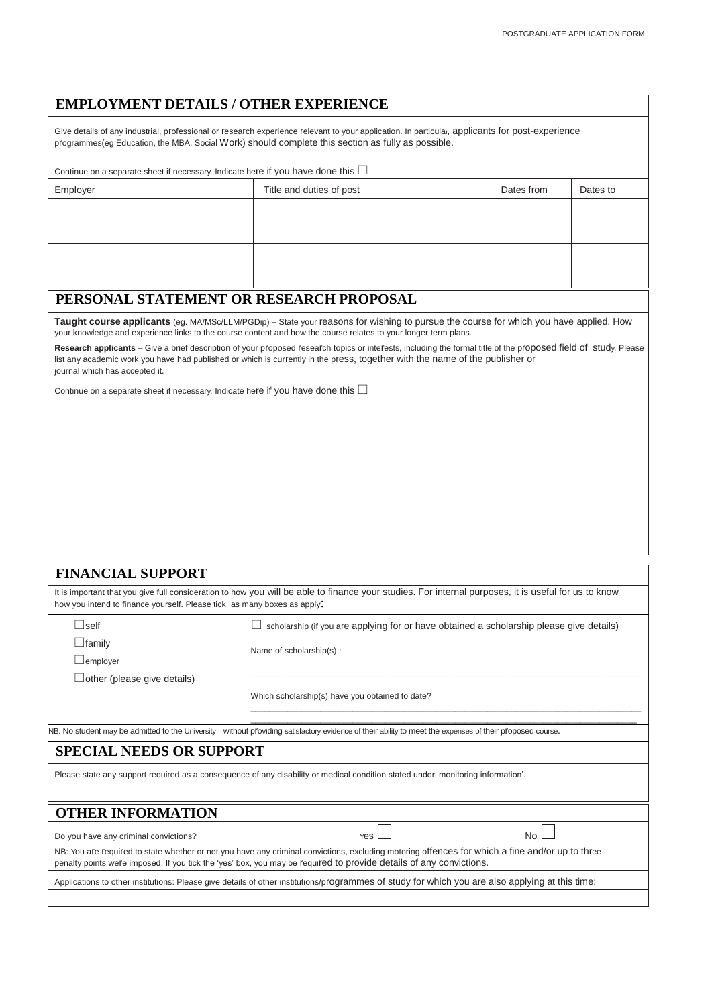### <span id="page-11-0"></span>**EMPLOYMENT DETAILS / OTHER EXPERIENCE**

Give details of any industrial, professional or research experience relevant to your application. In particular, applicants for post-experience programmes(eg Education, the MBA, Social Work) should complete this section as fully as possible.

| Continue on a separate sheet if necessary. Indicate here if you have done this $\Box$ |                          |            |          |  |  |
|---------------------------------------------------------------------------------------|--------------------------|------------|----------|--|--|
| Employer                                                                              | Title and duties of post | Dates from | Dates to |  |  |
|                                                                                       |                          |            |          |  |  |
|                                                                                       |                          |            |          |  |  |

### <span id="page-11-1"></span>**PERSONAL STATEMENT OR RESEARCH PROPOSAL**

**Taught course applicants** (eg. MA/MSc/LLM/PGDip) – State your reasons for wishing to pursue the course for which you have applied. How your knowledge and experience links to the course content and how the course relates to your longer term plans.

**Research applicants** – Give a brief description of your proposed research topics or interests, including the formal title of the proposed field of study. Please list any academic work you have had published or which is currently in the press, together with the name of the publisher or journal which has accepted it.

Continue on a separate sheet if necessary. Indicate here if you have done this  $\Box$ 

<span id="page-11-4"></span><span id="page-11-3"></span><span id="page-11-2"></span>

| <b>FINANCIAL SUPPORT</b>                                                                                                                                                                                                                                              |                                                                                                                                                          |  |  |
|-----------------------------------------------------------------------------------------------------------------------------------------------------------------------------------------------------------------------------------------------------------------------|----------------------------------------------------------------------------------------------------------------------------------------------------------|--|--|
| how you intend to finance yourself. Please tick as many boxes as apply:                                                                                                                                                                                               | It is important that you give full consideration to how you will be able to finance your studies. For internal purposes, it is useful for us to know     |  |  |
| $\Box$ self                                                                                                                                                                                                                                                           | scholarship (if you are applying for or have obtained a scholarship please give details)                                                                 |  |  |
| $\Box$ family<br>$\Box$ employer                                                                                                                                                                                                                                      | Name of scholarship(s):                                                                                                                                  |  |  |
| $\Box$ other (please give details)                                                                                                                                                                                                                                    |                                                                                                                                                          |  |  |
|                                                                                                                                                                                                                                                                       | Which scholarship(s) have you obtained to date?                                                                                                          |  |  |
|                                                                                                                                                                                                                                                                       |                                                                                                                                                          |  |  |
|                                                                                                                                                                                                                                                                       | NB: No student may be admitted to the University without providing satisfactory evidence of their ability to meet the expenses of their proposed course. |  |  |
| <b>SPECIAL NEEDS OR SUPPORT</b>                                                                                                                                                                                                                                       |                                                                                                                                                          |  |  |
|                                                                                                                                                                                                                                                                       | Please state any support required as a consequence of any disability or medical condition stated under 'monitoring information'.                         |  |  |
|                                                                                                                                                                                                                                                                       |                                                                                                                                                          |  |  |
| <b>OTHER INFORMATION</b>                                                                                                                                                                                                                                              |                                                                                                                                                          |  |  |
| Do you have any criminal convictions?                                                                                                                                                                                                                                 | No.<br>Yes                                                                                                                                               |  |  |
| NB: You are required to state whether or not you have any criminal convictions, excluding motoring offences for which a fine and/or up to three<br>penalty points were imposed. If you tick the 'yes' box, you may be required to provide details of any convictions. |                                                                                                                                                          |  |  |
| Applications to other institutions: Please give details of other institutions/programmes of study for which you are also applying at this time:                                                                                                                       |                                                                                                                                                          |  |  |
|                                                                                                                                                                                                                                                                       |                                                                                                                                                          |  |  |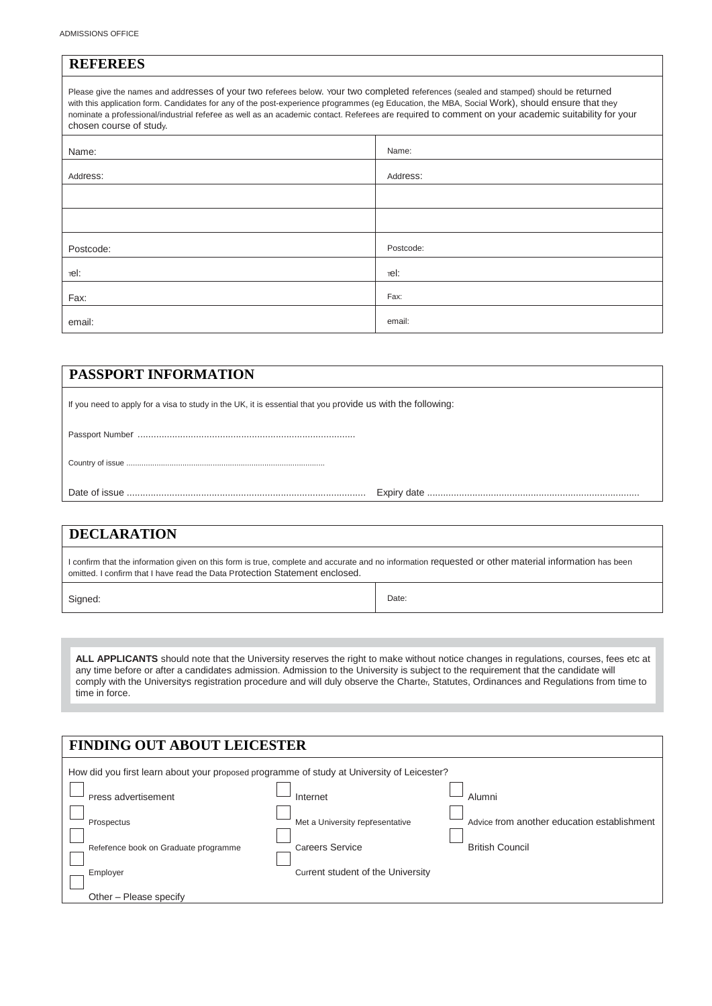<span id="page-12-0"></span>

| <b>REFEREES</b>                                                                                                                                                                                                                                                                                                                                                                                                                                                         |           |  |  |  |
|-------------------------------------------------------------------------------------------------------------------------------------------------------------------------------------------------------------------------------------------------------------------------------------------------------------------------------------------------------------------------------------------------------------------------------------------------------------------------|-----------|--|--|--|
| Please give the names and addresses of your two referees below. Your two completed references (sealed and stamped) should be returned<br>with this application form. Candidates for any of the post-experience programmes (eg Education, the MBA, Social Work), should ensure that they<br>nominate a professional/industrial referee as well as an academic contact. Referees are required to comment on your academic suitability for your<br>chosen course of study. |           |  |  |  |
| Name:                                                                                                                                                                                                                                                                                                                                                                                                                                                                   | Name:     |  |  |  |
| Address:                                                                                                                                                                                                                                                                                                                                                                                                                                                                | Address:  |  |  |  |
|                                                                                                                                                                                                                                                                                                                                                                                                                                                                         |           |  |  |  |
|                                                                                                                                                                                                                                                                                                                                                                                                                                                                         |           |  |  |  |
| Postcode:                                                                                                                                                                                                                                                                                                                                                                                                                                                               | Postcode: |  |  |  |
| тel:                                                                                                                                                                                                                                                                                                                                                                                                                                                                    | тel:      |  |  |  |
| Fax:                                                                                                                                                                                                                                                                                                                                                                                                                                                                    | Fax:      |  |  |  |

### <span id="page-12-1"></span>**PASSPORT INFORMATION**

If you need to apply for a visa to study in the UK, it is essential that you provide us with the following:

email: email: email: email: email: email: email: email: email: email: email: email: email: email: email: email: email: email: email: email: email: email: email: email: email: email: email: email: email: email: email: email

Passport Number ..................................................................................

Country of issue ............................................................................................

Date of issue .......................................................................................... Expiry date ................................................................................

### <span id="page-12-2"></span>**DECLARATION**

I confirm that the information given on this form is true, complete and accurate and no information requested or other material information has been omitted. I confirm that I have read the Data Protection Statement enclosed.

Signed: Date:

ALL APPLICANTS should note that the University reserves the right to make without notice changes in regulations, courses, fees etc at any time before or after a candidates admission. Admission to the University is subject to the requirement that the candidate will comply with the Universitys registration procedure and will duly observe the Charter, Statutes, Ordinances and Regulations from time to time in force.

<span id="page-12-3"></span>

| <b>FINDING OUT ABOUT LEICESTER</b>                                                         |                                   |                                             |  |
|--------------------------------------------------------------------------------------------|-----------------------------------|---------------------------------------------|--|
| How did you first learn about your proposed programme of study at University of Leicester? |                                   |                                             |  |
| Press advertisement                                                                        | Internet                          | Alumni                                      |  |
| Prospectus                                                                                 | Met a University representative   | Advice from another education establishment |  |
| Reference book on Graduate programme                                                       | <b>Careers Service</b>            | <b>British Council</b>                      |  |
| Employer                                                                                   | Current student of the University |                                             |  |
| Other - Please specify                                                                     |                                   |                                             |  |